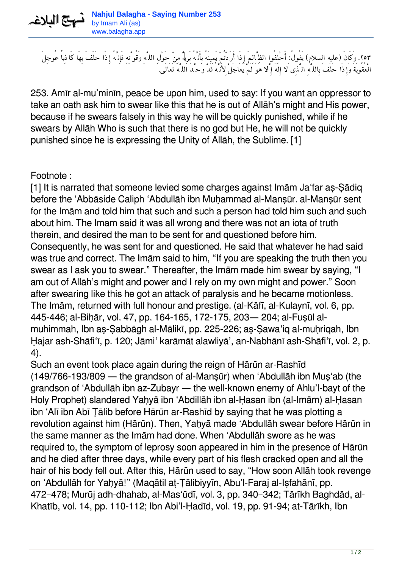

*.٢٥٣ وَكَانَ (عليه السلام) يَقُول:ُ أَحْلِفُوا الظَّالِمَ إِذَا أَرَدْتُمْ يَمِينَهُ بِأَنَّهُ بَرِيءٌ مِنْ حَوْلِ اللَّهِ وَقُوَّتِهِ فَإِنَّهُ إِذَا حَلَفَ بِهَا كَاذِباً عُوجِلَ الْعُقُوبَةَ وَإِذَا حَلَفَ بِاللَّهِ الَّذِى َلا إِلَهَ إَِّلا هُوَ لَمْ يُعَاجَلْ ِلأَنَّهُ قَدْ وَحَّدَ اللَّهَ تَعَالَى.*

253. Amīr al-mu'minīn, peace be upon him, used to say: If you want an oppressor to take an oath ask him to swear like this that he is out of Allāh's might and His power, because if he swears falsely in this way he will be quickly punished, while if he swears by Allāh Who is such that there is no god but He, he will not be quickly punished since he is expressing the Unity of Allāh, the Sublime. [1]

Footnote :

[1] It is narrated that someone levied some charges against Imām Ja'far aṣ-Ṣādiq before the 'Abbāside Caliph 'Abdullāh ibn Muhammad al-Mansūr. al-Mansūr sent for the Imām and told him that such and such a person had told him such and such about him. The Imam said it was all wrong and there was not an iota of truth therein, and desired the man to be sent for and questioned before him. Consequently, he was sent for and questioned. He said that whatever he had said was true and correct. The Imām said to him, "If you are speaking the truth then you swear as I ask you to swear." Thereafter, the Imām made him swear by saying, "I am out of Allāh's might and power and I rely on my own might and power." Soon after swearing like this he got an attack of paralysis and he became motionless. The Imām, returned with full honour and prestige. (al-Kāfī, al-Kulaynī, vol. 6, pp. 445-446; al-Biḥār, vol. 47, pp. 164-165, 172-175, 203— 204; al-Fuṣūl almuhimmah, Ibn aṣ-Ṣabbāgh al-Mālikī, pp. 225-226; aṣ-Ṣawa'iq al-muḥriqah, Ibn Ḥajar ash-Shāfi'ī, p. 120; Jāmi' karāmāt alawliyā', an-Nabhānī ash-Shāfi'ī, vol. 2, p. 4).

Such an event took place again during the reign of Hārūn ar-Rashīd (149/766-193/809 — the grandson of al-Manṣūr) when 'Abdullāh ibn Muṣ'ab (the grandson of 'Abdullāh ibn az-Zubayr — the well-known enemy of Ahlu'l-bayt of the Holy Prophet) slandered Yahyā ibn 'Abdillāh ibn al-Hasan ibn (al-Imām) al-Hasan ibn 'Alī ibn Abī Ṭālib before Hārūn ar-Rashīd by saying that he was plotting a revolution against him (Hārūn). Then, Yahyā made 'Abdullāh swear before Hārūn in the same manner as the Imām had done. When 'Abdullāh swore as he was required to, the symptom of leprosy soon appeared in him in the presence of Hārūn and he died after three days, while every part of his flesh cracked open and all the hair of his body fell out. After this, Hārūn used to say, "How soon Allāh took revenge on 'Abdullāh for Yaḥyā!" (Maqātil aṭ-Ṭālibiyyīn, Abu'l-Faraj al-Iṣfahānī, pp. 472–478; Murūj adh-dhahab, al-Mas'ūdī, vol. 3, pp. 340–342; Tārīkh Baghdād, al-Khatīb, vol. 14, pp. 110-112; Ibn Abi'l-Ḥadīd, vol. 19, pp. 91-94; at-Tārīkh, Ibn